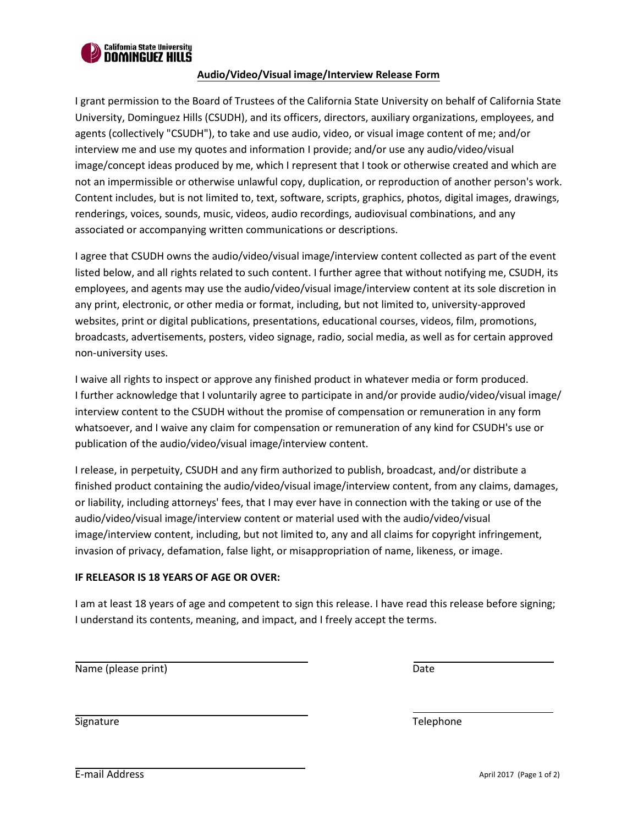

## **Audio/Video/Visual image/Interview Release Form**

I grant permission to the Board of Trustees of the California State University on behalf of California State University, Dominguez Hills (CSUDH), and its officers, directors, auxiliary organizations, employees, and agents (collectively "CSUDH"), to take and use audio, video, or visual image content of me; and/or interview me and use my quotes and information I provide; and/or use any audio/video/visual image/concept ideas produced by me, which I represent that I took or otherwise created and which are not an impermissible or otherwise unlawful copy, duplication, or reproduction of another person's work. Content includes, but is not limited to, text, software, scripts, graphics, photos, digital images, drawings, renderings, voices, sounds, music, videos, audio recordings, audiovisual combinations, and any associated or accompanying written communications or descriptions.

I agree that CSUDH owns the audio/video/visual image/interview content collected as part of the event listed below, and all rights related to such content. I further agree that without notifying me, CSUDH, its employees, and agents may use the audio/video/visual image/interview content at its sole discretion in any print, electronic, or other media or format, including, but not limited to, university-approved websites, print or digital publications, presentations, educational courses, videos, film, promotions, broadcasts, advertisements, posters, video signage, radio, social media, as well as for certain approved non-university uses.

I waive all rights to inspect or approve any finished product in whatever media or form produced. I further acknowledge that I voluntarily agree to participate in and/or provide audio/video/visual image/ interview content to the CSUDH without the promise of compensation or remuneration in any form whatsoever, and I waive any claim for compensation or remuneration of any kind for CSUDH's use or publication of the audio/video/visual image/interview content.

I release, in perpetuity, CSUDH and any firm authorized to publish, broadcast, and/or distribute a finished product containing the audio/video/visual image/interview content, from any claims, damages, or liability, including attorneys' fees, that I may ever have in connection with the taking or use of the audio/video/visual image/interview content or material used with the audio/video/visual image/interview content, including, but not limited to, any and all claims for copyright infringement, invasion of privacy, defamation, false light, or misappropriation of name, likeness, or image.

## **IF RELEASOR IS 18 YEARS OF AGE OR OVER:**

I am at least 18 years of age and competent to sign this release. I have read this release before signing; I understand its contents, meaning, and impact, and I freely accept the terms.

Name (please print) Date and the state of the state of the state of the Date of the Date of the Date of the Date of the Date of the Date of the Date of the Date of the Date of the Date of the Date of the Date of the Date o

Signature Telephone